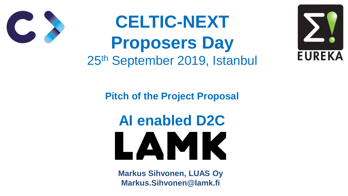### **Pitch of the Project Proposal**



# **CELTIC-NEXT Proposers Day**  25th September 2019, Istanbul



**Markus Sihvonen, LUAS Oy Markus.Sihvonen@lamk.fi**



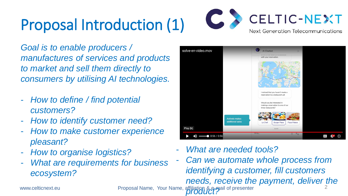# Proposal Introduction (1)

*Goal is to enable producers / manufactures of services and products to market and sell them directly to consumers by utilising AI technologies.*

- *How to define / find potential customers?*
- *How to identify customer need?*
- *How to make customer experience pleasant?*
- *How to organise logistics?*
- 2 - *What are requirements for business ecosystem?* www.celticnext.eu **Proposal Name, Your Name, affiliation & e-mail of presenter** Can we automate whole process from *identifying a customer, fill customers needs, receive the payment, deliver the product?*





- *What are needed tools?*





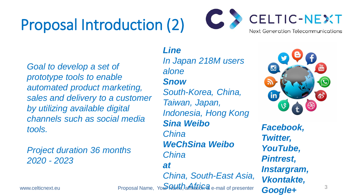# Proposal Introduction (2)

3

*Goal to develop a set of prototype tools to enable automated product marketing, sales and delivery to a customer by utilizing available digital channels such as social media tools.*

*Project duration 36 months 2020 - 2023*

www.celticnext.eu Proposal Name, Your **Rent Africa** e-mail of presenter



### *Line*

*In Japan 218M users alone*

- *Snow*
- *South-Korea, China,*
- *Taiwan, Japan,*
- *Indonesia, Hong Kong*
- *Sina Weibo*
- *China*
- *WeChSina Weibo China*
- 
- *at*

*China, South-East Asia,* 



*Facebook, Twitter, YouTube, Pintrest, Instargram, Vkontakte, Google+*



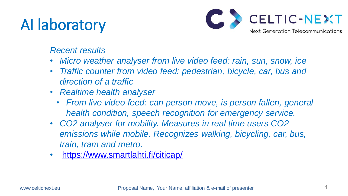# AI laboratory

### *Recent results*

• *Micro weather analyser from live video feed: rain, sun, snow, ice* • *Traffic counter from video feed: pedestrian, bicycle, car, bus and* 

• *From live video feed: can person move, is person fallen, general health condition, speech recognition for emergency service.* • *CO2 analyser for mobility. Measures in real time users CO2 emissions while mobile. Recognizes walking, bicycling, car, bus,* 

www.celticnext.eu **Proposal Name, Your Name, affiliation & e-mail of presenter** 

- 
- *direction of a traffic*
- *Realtime health analyser*
	-
- *train, tram and metro.*
- <https://www.smartlahti.fi/citicap/>

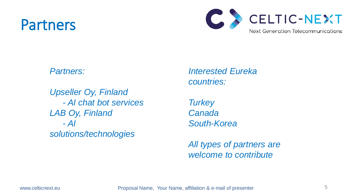## Partners

5

#### *Partners:*

*Upseller Oy, Finland - AI chat bot services LAB Oy, Finland - AI solutions/technologies*

www.celticnext.eu **Proposal Name, Your Name, affiliation & e-mail of presenter** 



*Interested Eureka countries:*

*Turkey Canada South-Korea*

*All types of partners are welcome to contribute*